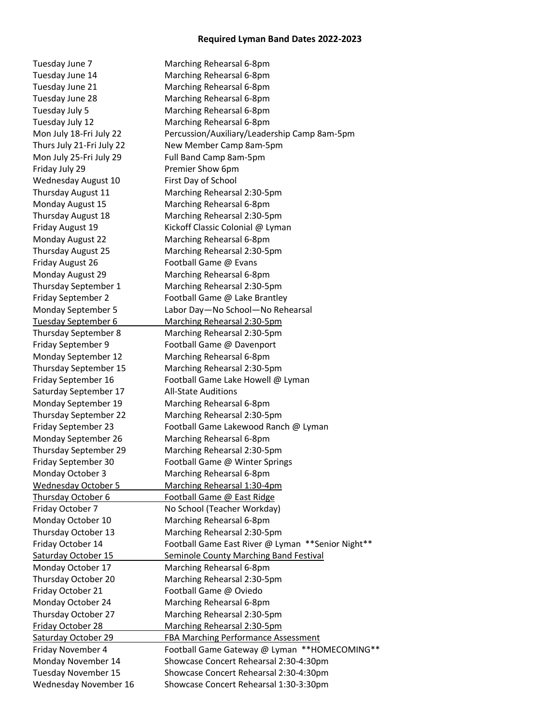## **Required Lyman Band Dates 2022-2023**

Tuesday June 7 Marching Rehearsal 6-8pm Tuesday June 14 Marching Rehearsal 6-8pm Tuesday June 21 Marching Rehearsal 6-8pm Tuesday June 28 Marching Rehearsal 6-8pm Tuesday July 5 Marching Rehearsal 6-8pm Tuesday July 12 Marching Rehearsal 6-8pm Mon July 18-Fri July 22 Percussion/Auxiliary/Leadership Camp 8am-5pm Thurs July 21-Fri July 22 New Member Camp 8am-5pm Mon July 25-Fri July 29 Full Band Camp 8am-5pm Friday July 29 **Premier Show 6pm** Wednesday August 10 First Day of School Thursday August 11 Marching Rehearsal 2:30-5pm Monday August 15 Marching Rehearsal 6-8pm Thursday August 18 Marching Rehearsal 2:30-5pm Friday August 19 Kickoff Classic Colonial @ Lyman Monday August 22 Marching Rehearsal 6-8pm Thursday August 25 Marching Rehearsal 2:30-5pm Friday August 26 Football Game @ Evans Monday August 29 Marching Rehearsal 6-8pm Thursday September 1 Marching Rehearsal 2:30-5pm Friday September 2 Football Game @ Lake Brantley Monday September 5 Labor Day—No School—No Rehearsal Tuesday September 6 Marching Rehearsal 2:30-5pm Thursday September 8 Marching Rehearsal 2:30-5pm Friday September 9 Football Game @ Davenport Monday September 12 Marching Rehearsal 6-8pm Thursday September 15 Marching Rehearsal 2:30-5pm Friday September 16 Football Game Lake Howell @ Lyman Saturday September 17 All-State Auditions Monday September 19 Marching Rehearsal 6-8pm Thursday September 22 Marching Rehearsal 2:30-5pm Friday September 23 Football Game Lakewood Ranch @ Lyman Monday September 26 Marching Rehearsal 6-8pm Thursday September 29 Marching Rehearsal 2:30-5pm Friday September 30 Football Game @ Winter Springs Monday October 3 Marching Rehearsal 6-8pm Wednesday October 5 Marching Rehearsal 1:30-4pm Thursday October 6 Football Game @ East Ridge Friday October 7 No School (Teacher Workday) Monday October 10 Marching Rehearsal 6-8pm Thursday October 13 Marching Rehearsal 2:30-5pm Friday October 14 Football Game East River @ Lyman \*\*Senior Night\*\* Saturday October 15 Seminole County Marching Band Festival Monday October 17 Marching Rehearsal 6-8pm Thursday October 20 Marching Rehearsal 2:30-5pm Friday October 21 Football Game @ Oviedo Monday October 24 Marching Rehearsal 6-8pm Thursday October 27 Marching Rehearsal 2:30-5pm Friday October 28 Marching Rehearsal 2:30-5pm Saturday October 29 FBA Marching Performance Assessment Friday November 4 Football Game Gateway @ Lyman \*\*HOMECOMING\*\* Monday November 14 Showcase Concert Rehearsal 2:30-4:30pm Tuesday November 15 Showcase Concert Rehearsal 2:30-4:30pm Wednesday November 16 Showcase Concert Rehearsal 1:30-3:30pm